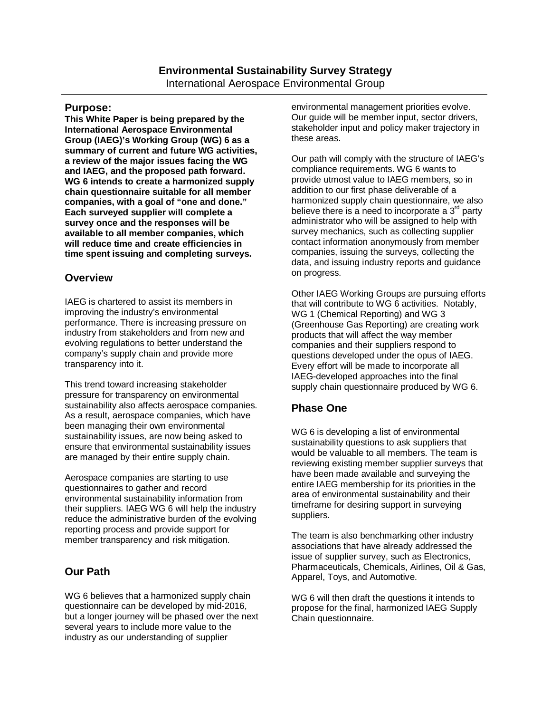#### **Purpose:**

**This White Paper is being prepared by the International Aerospace Environmental Group (IAEG)'s Working Group (WG) 6 as a summary of current and future WG activities, a review of the major issues facing the WG and IAEG, and the proposed path forward. WG 6 intends to create a harmonized supply chain questionnaire suitable for all member companies, with a goal of "one and done." Each surveyed supplier will complete a survey once and the responses will be available to all member companies, which will reduce time and create efficiencies in time spent issuing and completing surveys.** 

### **Overview**

IAEG is chartered to assist its members in improving the industry's environmental performance. There is increasing pressure on industry from stakeholders and from new and evolving regulations to better understand the company's supply chain and provide more transparency into it.

This trend toward increasing stakeholder pressure for transparency on environmental sustainability also affects aerospace companies. As a result, aerospace companies, which have been managing their own environmental sustainability issues, are now being asked to ensure that environmental sustainability issues are managed by their entire supply chain.

Aerospace companies are starting to use questionnaires to gather and record environmental sustainability information from their suppliers. IAEG WG 6 will help the industry reduce the administrative burden of the evolving reporting process and provide support for member transparency and risk mitigation.

# **Our Path**

WG 6 believes that a harmonized supply chain questionnaire can be developed by mid-2016, but a longer journey will be phased over the next several years to include more value to the industry as our understanding of supplier

environmental management priorities evolve. Our guide will be member input, sector drivers, stakeholder input and policy maker trajectory in these areas.

Our path will comply with the structure of IAEG's compliance requirements. WG 6 wants to provide utmost value to IAEG members, so in addition to our first phase deliverable of a harmonized supply chain questionnaire, we also believe there is a need to incorporate a  $3<sup>rd</sup>$  party administrator who will be assigned to help with survey mechanics, such as collecting supplier contact information anonymously from member companies, issuing the surveys, collecting the data, and issuing industry reports and guidance on progress.

Other IAEG Working Groups are pursuing efforts that will contribute to WG 6 activities. Notably, WG 1 (Chemical Reporting) and WG 3 (Greenhouse Gas Reporting) are creating work products that will affect the way member companies and their suppliers respond to questions developed under the opus of IAEG. Every effort will be made to incorporate all IAEG-developed approaches into the final supply chain questionnaire produced by WG 6.

# **Phase One**

WG 6 is developing a list of environmental sustainability questions to ask suppliers that would be valuable to all members. The team is reviewing existing member supplier surveys that have been made available and surveying the entire IAEG membership for its priorities in the area of environmental sustainability and their timeframe for desiring support in surveying suppliers.

The team is also benchmarking other industry associations that have already addressed the issue of supplier survey, such as Electronics, Pharmaceuticals, Chemicals, Airlines, Oil & Gas, Apparel, Toys, and Automotive.

WG 6 will then draft the questions it intends to propose for the final, harmonized IAEG Supply Chain questionnaire.